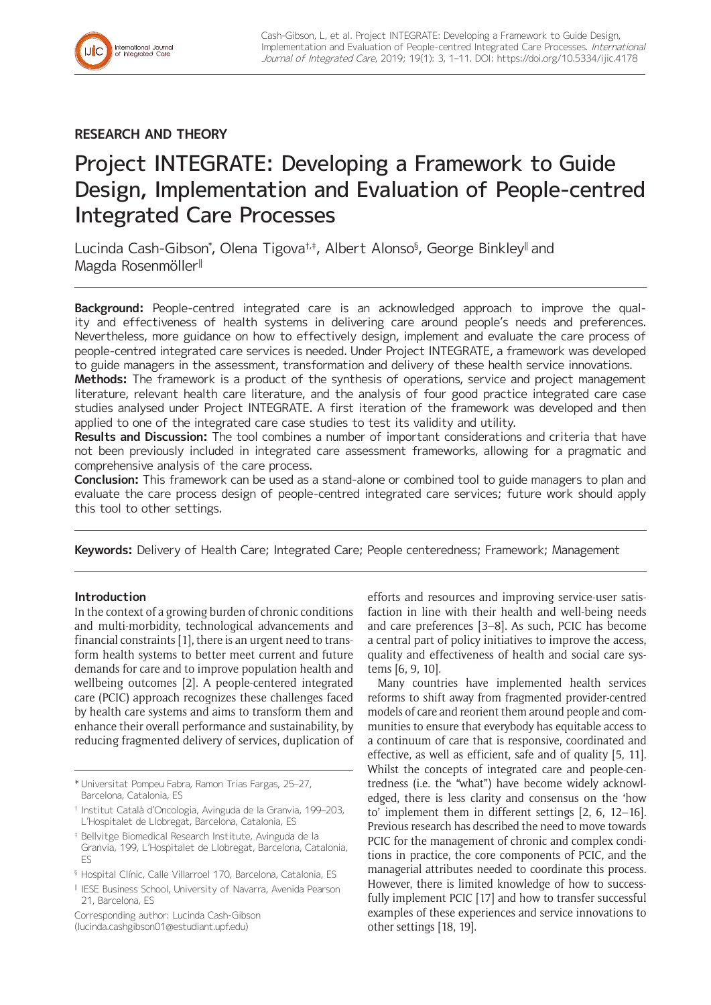

## **RESEARCH AND THEORY**

# Project INTEGRATE: Developing a Framework to Guide Design, Implementation and Evaluation of People-centred Integrated Care Processes

Lucinda Cash-Gibson\*, Olena Tigova†‡, Albert Alonso§, George Binkley∥and Magda Rosenmöller‖

**Background:** People-centred integrated care is an acknowledged approach to improve the quality and effectiveness of health systems in delivering care around people's needs and preferences. Nevertheless, more guidance on how to effectively design, implement and evaluate the care process of people-centred integrated care services is needed. Under Project INTEGRATE, a framework was developed to guide managers in the assessment, transformation and delivery of these health service innovations.

**Methods:** The framework is a product of the synthesis of operations, service and project management literature, relevant health care literature, and the analysis of four good practice integrated care case studies analysed under Project INTEGRATE. A first iteration of the framework was developed and then applied to one of the integrated care case studies to test its validity and utility.

**Results and Discussion:** The tool combines a number of important considerations and criteria that have not been previously included in integrated care assessment frameworks, allowing for a pragmatic and comprehensive analysis of the care process.

**Conclusion:** This framework can be used as a stand-alone or combined tool to guide managers to plan and evaluate the care process design of people-centred integrated care services; future work should apply this tool to other settings.

**Keywords:** Delivery of Health Care; Integrated Care; People centeredness; Framework; Management

## **Introduction**

In the context of a growing burden of chronic conditions and multi-morbidity, technological advancements and financial constraints [1], there is an urgent need to transform health systems to better meet current and future demands for care and to improve population health and wellbeing outcomes [2]. A people-centered integrated care (PCIC) approach recognizes these challenges faced by health care systems and aims to transform them and enhance their overall performance and sustainability, by reducing fragmented delivery of services, duplication of

Corresponding author: Lucinda Cash-Gibson [\(lucinda.cashgibson01@estudiant.upf.edu](mailto:lucinda.cashgibson01@estudiant.upf.edu))

efforts and resources and improving service-user satisfaction in line with their health and well-being needs and care preferences [3–8]. As such, PCIC has become a central part of policy initiatives to improve the access, quality and effectiveness of health and social care systems [6, 9, 10].

Many countries have implemented health services reforms to shift away from fragmented provider-centred models of care and reorient them around people and communities to ensure that everybody has equitable access to a continuum of care that is responsive, coordinated and effective, as well as efficient, safe and of quality [5, 11]. Whilst the concepts of integrated care and people-centredness (i.e. the "what") have become widely acknowledged, there is less clarity and consensus on the 'how to' implement them in different settings [2, 6, 12–16]. Previous research has described the need to move towards PCIC for the management of chronic and complex conditions in practice, the core components of PCIC, and the managerial attributes needed to coordinate this process. However, there is limited knowledge of how to successfully implement PCIC [17] and how to transfer successful examples of these experiences and service innovations to other settings [18, 19].

<sup>\*</sup> Universitat Pompeu Fabra, Ramon Trias Fargas, 25–27, Barcelona, Catalonia, ES

<sup>†</sup> Institut Català d'Oncologia, Avinguda de la Granvia, 199–203, L'Hospitalet de Llobregat, Barcelona, Catalonia, ES

<sup>‡</sup> Bellvitge Biomedical Research Institute, Avinguda de la Granvia, 199, L'Hospitalet de Llobregat, Barcelona, Catalonia, ES

<sup>§</sup> Hospital Clínic, Calle Villarroel 170, Barcelona, Catalonia, ES

<sup>‖</sup> IESE Business School, University of Navarra, Avenida Pearson 21, Barcelona, ES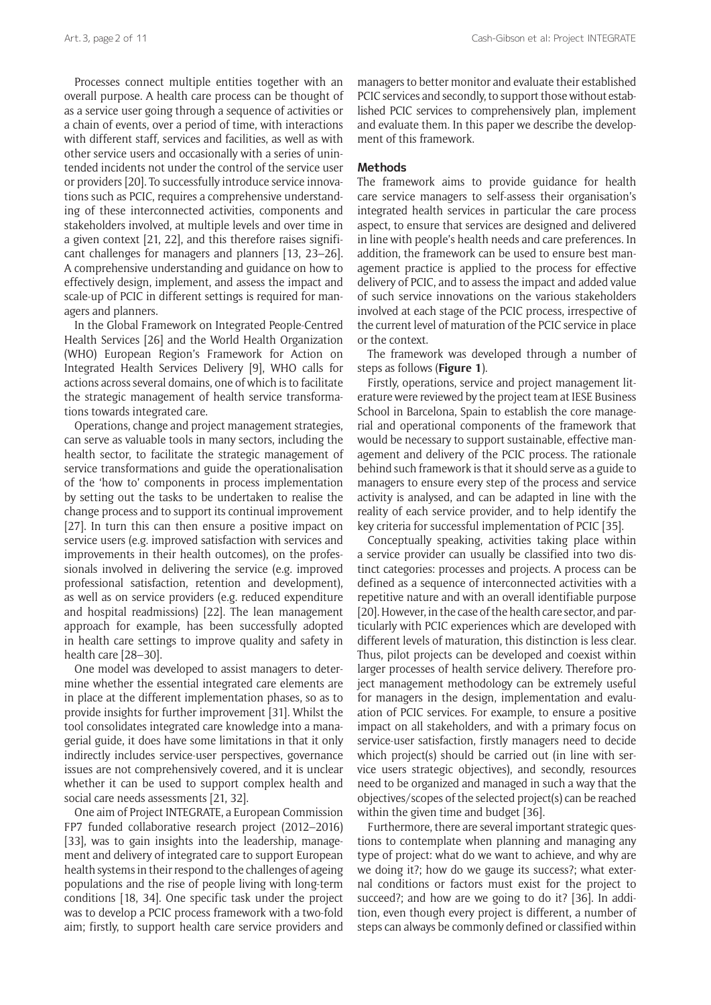Processes connect multiple entities together with an overall purpose. A health care process can be thought of as a service user going through a sequence of activities or a chain of events, over a period of time, with interactions with different staff, services and facilities, as well as with other service users and occasionally with a series of unintended incidents not under the control of the service user or providers [20]. To successfully introduce service innovations such as PCIC, requires a comprehensive understanding of these interconnected activities, components and stakeholders involved, at multiple levels and over time in a given context [21, 22], and this therefore raises significant challenges for managers and planners [13, 23–26]. A comprehensive understanding and guidance on how to effectively design, implement, and assess the impact and scale-up of PCIC in different settings is required for managers and planners.

In the Global Framework on Integrated People-Centred Health Services [26] and the World Health Organization (WHO) European Region's Framework for Action on Integrated Health Services Delivery [9], WHO calls for actions across several domains, one of which is to facilitate the strategic management of health service transformations towards integrated care.

Operations, change and project management strategies, can serve as valuable tools in many sectors, including the health sector, to facilitate the strategic management of service transformations and guide the operationalisation of the 'how to' components in process implementation by setting out the tasks to be undertaken to realise the change process and to support its continual improvement [27]. In turn this can then ensure a positive impact on service users (e.g. improved satisfaction with services and improvements in their health outcomes), on the professionals involved in delivering the service (e.g. improved professional satisfaction, retention and development), as well as on service providers (e.g. reduced expenditure and hospital readmissions) [22]. The lean management approach for example, has been successfully adopted in health care settings to improve quality and safety in health care [28–30].

One model was developed to assist managers to determine whether the essential integrated care elements are in place at the different implementation phases, so as to provide insights for further improvement [31]. Whilst the tool consolidates integrated care knowledge into a managerial guide, it does have some limitations in that it only indirectly includes service-user perspectives, governance issues are not comprehensively covered, and it is unclear whether it can be used to support complex health and social care needs assessments [21, 32].

One aim of Project INTEGRATE, a European Commission FP7 funded collaborative research project (2012–2016) [33], was to gain insights into the leadership, management and delivery of integrated care to support European health systems in their respond to the challenges of ageing populations and the rise of people living with long-term conditions [18, 34]. One specific task under the project was to develop a PCIC process framework with a two-fold aim; firstly, to support health care service providers and

managers to better monitor and evaluate their established PCIC services and secondly, to support those without established PCIC services to comprehensively plan, implement and evaluate them. In this paper we describe the development of this framework.

#### **Methods**

The framework aims to provide guidance for health care service managers to self-assess their organisation's integrated health services in particular the care process aspect, to ensure that services are designed and delivered in line with people's health needs and care preferences. In addition, the framework can be used to ensure best management practice is applied to the process for effective delivery of PCIC, and to assess the impact and added value of such service innovations on the various stakeholders involved at each stage of the PCIC process, irrespective of the current level of maturation of the PCIC service in place or the context.

The framework was developed through a number of steps as follows (**Figure 1**).

Firstly, operations, service and project management literature were reviewed by the project team at IESE Business School in Barcelona, Spain to establish the core managerial and operational components of the framework that would be necessary to support sustainable, effective management and delivery of the PCIC process. The rationale behind such framework is that it should serve as a guide to managers to ensure every step of the process and service activity is analysed, and can be adapted in line with the reality of each service provider, and to help identify the key criteria for successful implementation of PCIC [35].

Conceptually speaking, activities taking place within a service provider can usually be classified into two distinct categories: processes and projects. A process can be defined as a sequence of interconnected activities with a repetitive nature and with an overall identifiable purpose [20]. However, in the case of the health care sector, and particularly with PCIC experiences which are developed with different levels of maturation, this distinction is less clear. Thus, pilot projects can be developed and coexist within larger processes of health service delivery. Therefore project management methodology can be extremely useful for managers in the design, implementation and evaluation of PCIC services. For example, to ensure a positive impact on all stakeholders, and with a primary focus on service-user satisfaction, firstly managers need to decide which project(s) should be carried out (in line with service users strategic objectives), and secondly, resources need to be organized and managed in such a way that the objectives/scopes of the selected project(s) can be reached within the given time and budget [36].

Furthermore, there are several important strategic questions to contemplate when planning and managing any type of project: what do we want to achieve, and why are we doing it?; how do we gauge its success?; what external conditions or factors must exist for the project to succeed?; and how are we going to do it? [36]. In addition, even though every project is different, a number of steps can always be commonly defined or classified within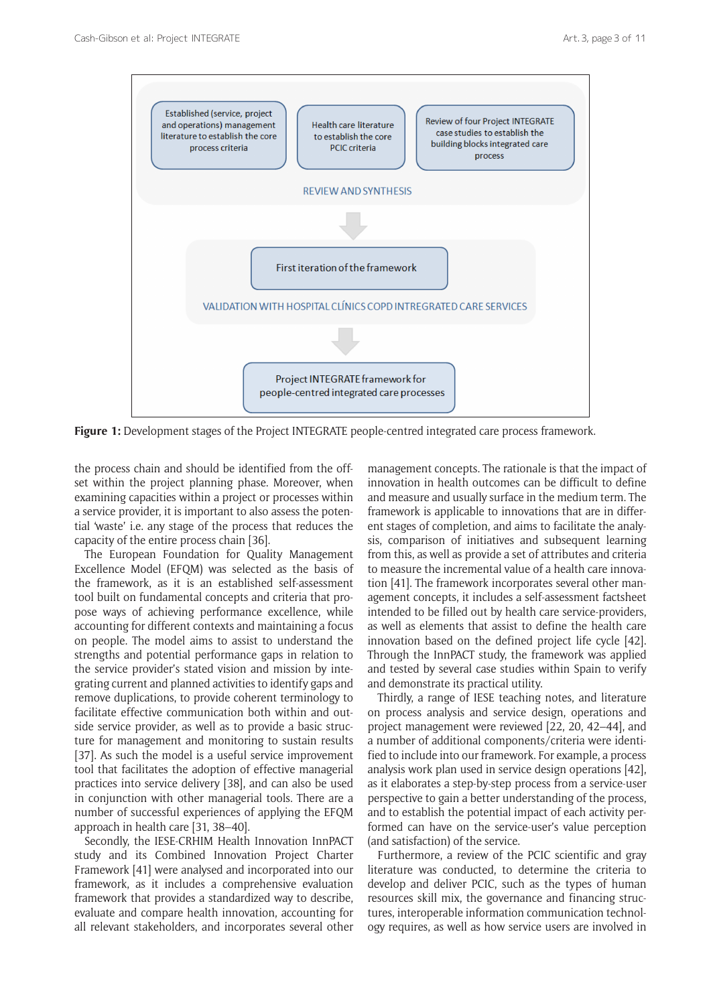

Figure 1: Development stages of the Project INTEGRATE people-centred integrated care process framework.

the process chain and should be identified from the offset within the project planning phase. Moreover, when examining capacities within a project or processes within a service provider, it is important to also assess the potential 'waste' i.e. any stage of the process that reduces the capacity of the entire process chain [36].

The European Foundation for Quality Management Excellence Model (EFQM) was selected as the basis of the framework, as it is an established self-assessment tool built on fundamental concepts and criteria that propose ways of achieving performance excellence, while accounting for different contexts and maintaining a focus on people. The model aims to assist to understand the strengths and potential performance gaps in relation to the service provider's stated vision and mission by integrating current and planned activities to identify gaps and remove duplications, to provide coherent terminology to facilitate effective communication both within and outside service provider, as well as to provide a basic structure for management and monitoring to sustain results [37]. As such the model is a useful service improvement tool that facilitates the adoption of effective managerial practices into service delivery [38], and can also be used in conjunction with other managerial tools. There are a number of successful experiences of applying the EFQM approach in health care [31, 38–40].

Secondly, the IESE-CRHIM Health Innovation InnPACT study and its Combined Innovation Project Charter Framework [41] were analysed and incorporated into our framework, as it includes a comprehensive evaluation framework that provides a standardized way to describe, evaluate and compare health innovation, accounting for all relevant stakeholders, and incorporates several other management concepts. The rationale is that the impact of innovation in health outcomes can be difficult to define and measure and usually surface in the medium term. The framework is applicable to innovations that are in different stages of completion, and aims to facilitate the analysis, comparison of initiatives and subsequent learning from this, as well as provide a set of attributes and criteria to measure the incremental value of a health care innovation [41]. The framework incorporates several other management concepts, it includes a self-assessment factsheet intended to be filled out by health care service-providers, as well as elements that assist to define the health care innovation based on the defined project life cycle [42]. Through the InnPACT study, the framework was applied and tested by several case studies within Spain to verify and demonstrate its practical utility.

Thirdly, a range of IESE teaching notes, and literature on process analysis and service design, operations and project management were reviewed [22, 20, 42–44], and a number of additional components/criteria were identified to include into our framework. For example, a process analysis work plan used in service design operations [42], as it elaborates a step-by-step process from a service-user perspective to gain a better understanding of the process, and to establish the potential impact of each activity performed can have on the service-user's value perception (and satisfaction) of the service.

Furthermore, a review of the PCIC scientific and gray literature was conducted, to determine the criteria to develop and deliver PCIC, such as the types of human resources skill mix, the governance and financing structures, interoperable information communication technology requires, as well as how service users are involved in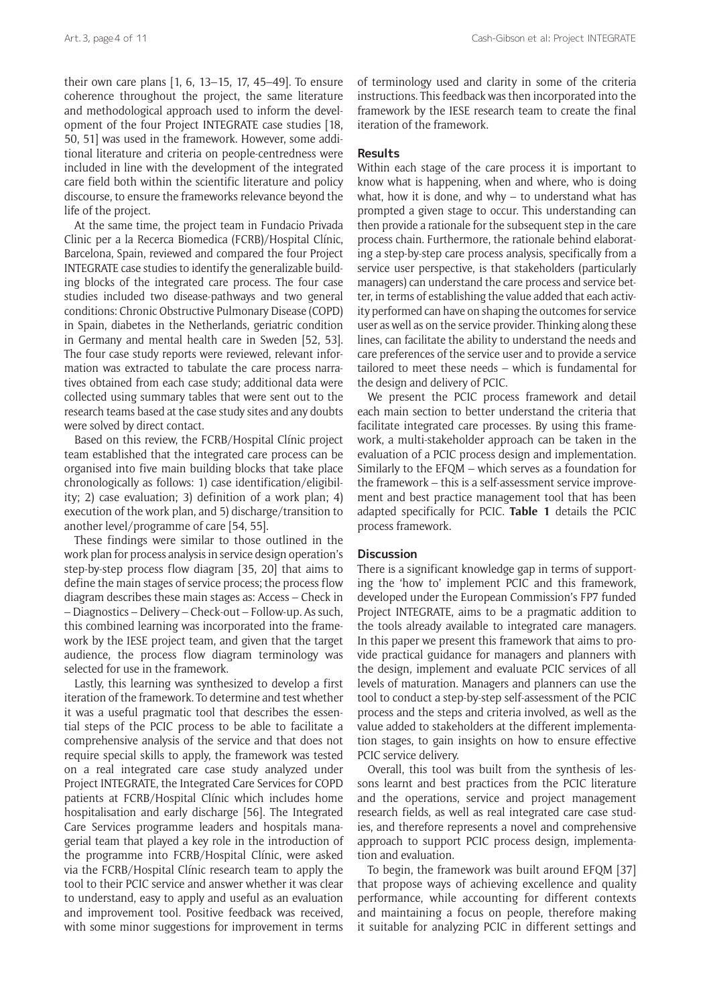their own care plans [1, 6, 13–15, 17, 45–49]. To ensure coherence throughout the project, the same literature and methodological approach used to inform the development of the four Project INTEGRATE case studies [18, 50, 51] was used in the framework. However, some additional literature and criteria on people-centredness were included in line with the development of the integrated care field both within the scientific literature and policy discourse, to ensure the frameworks relevance beyond the life of the project.

At the same time, the project team in Fundacio Privada Clinic per a la Recerca Biomedica (FCRB)/Hospital Clínic, Barcelona, Spain, reviewed and compared the four Project INTEGRATE case studies to identify the generalizable building blocks of the integrated care process. The four case studies included two disease-pathways and two general conditions: Chronic Obstructive Pulmonary Disease (COPD) in Spain, diabetes in the Netherlands, geriatric condition in Germany and mental health care in Sweden [52, 53]. The four case study reports were reviewed, relevant information was extracted to tabulate the care process narratives obtained from each case study; additional data were collected using summary tables that were sent out to the research teams based at the case study sites and any doubts were solved by direct contact.

Based on this review, the FCRB/Hospital Clínic project team established that the integrated care process can be organised into five main building blocks that take place chronologically as follows: 1) case identification/eligibility; 2) case evaluation; 3) definition of a work plan; 4) execution of the work plan, and 5) discharge/transition to another level/programme of care [54, 55].

These findings were similar to those outlined in the work plan for process analysis in service design operation's step-by-step process flow diagram [35, 20] that aims to define the main stages of service process; the process flow diagram describes these main stages as: Access – Check in – Diagnostics – Delivery – Check-out – Follow-up. As such, this combined learning was incorporated into the framework by the IESE project team, and given that the target audience, the process flow diagram terminology was selected for use in the framework.

Lastly, this learning was synthesized to develop a first iteration of the framework. To determine and test whether it was a useful pragmatic tool that describes the essential steps of the PCIC process to be able to facilitate a comprehensive analysis of the service and that does not require special skills to apply, the framework was tested on a real integrated care case study analyzed under Project INTEGRATE, the Integrated Care Services for COPD patients at FCRB/Hospital Clínic which includes home hospitalisation and early discharge [56]. The Integrated Care Services programme leaders and hospitals managerial team that played a key role in the introduction of the programme into FCRB/Hospital Clínic, were asked via the FCRB/Hospital Clínic research team to apply the tool to their PCIC service and answer whether it was clear to understand, easy to apply and useful as an evaluation and improvement tool. Positive feedback was received, with some minor suggestions for improvement in terms of terminology used and clarity in some of the criteria instructions. This feedback was then incorporated into the framework by the IESE research team to create the final iteration of the framework.

#### **Results**

Within each stage of the care process it is important to know what is happening, when and where, who is doing what, how it is done, and why  $-$  to understand what has prompted a given stage to occur. This understanding can then provide a rationale for the subsequent step in the care process chain. Furthermore, the rationale behind elaborating a step-by-step care process analysis, specifically from a service user perspective, is that stakeholders (particularly managers) can understand the care process and service better, in terms of establishing the value added that each activity performed can have on shaping the outcomes for service user as well as on the service provider. Thinking along these lines, can facilitate the ability to understand the needs and care preferences of the service user and to provide a service tailored to meet these needs – which is fundamental for the design and delivery of PCIC.

We present the PCIC process framework and detail each main section to better understand the criteria that facilitate integrated care processes. By using this framework, a multi-stakeholder approach can be taken in the evaluation of a PCIC process design and implementation. Similarly to the EFQM – which serves as a foundation for the framework – this is a self-assessment service improvement and best practice management tool that has been adapted specifically for PCIC. **Table 1** details the PCIC process framework.

#### **Discussion**

There is a significant knowledge gap in terms of supporting the 'how to' implement PCIC and this framework, developed under the European Commission's FP7 funded Project INTEGRATE, aims to be a pragmatic addition to the tools already available to integrated care managers. In this paper we present this framework that aims to provide practical guidance for managers and planners with the design, implement and evaluate PCIC services of all levels of maturation. Managers and planners can use the tool to conduct a step-by-step self-assessment of the PCIC process and the steps and criteria involved, as well as the value added to stakeholders at the different implementation stages, to gain insights on how to ensure effective PCIC service delivery.

Overall, this tool was built from the synthesis of lessons learnt and best practices from the PCIC literature and the operations, service and project management research fields, as well as real integrated care case studies, and therefore represents a novel and comprehensive approach to support PCIC process design, implementation and evaluation.

To begin, the framework was built around EFQM [37] that propose ways of achieving excellence and quality performance, while accounting for different contexts and maintaining a focus on people, therefore making it suitable for analyzing PCIC in different settings and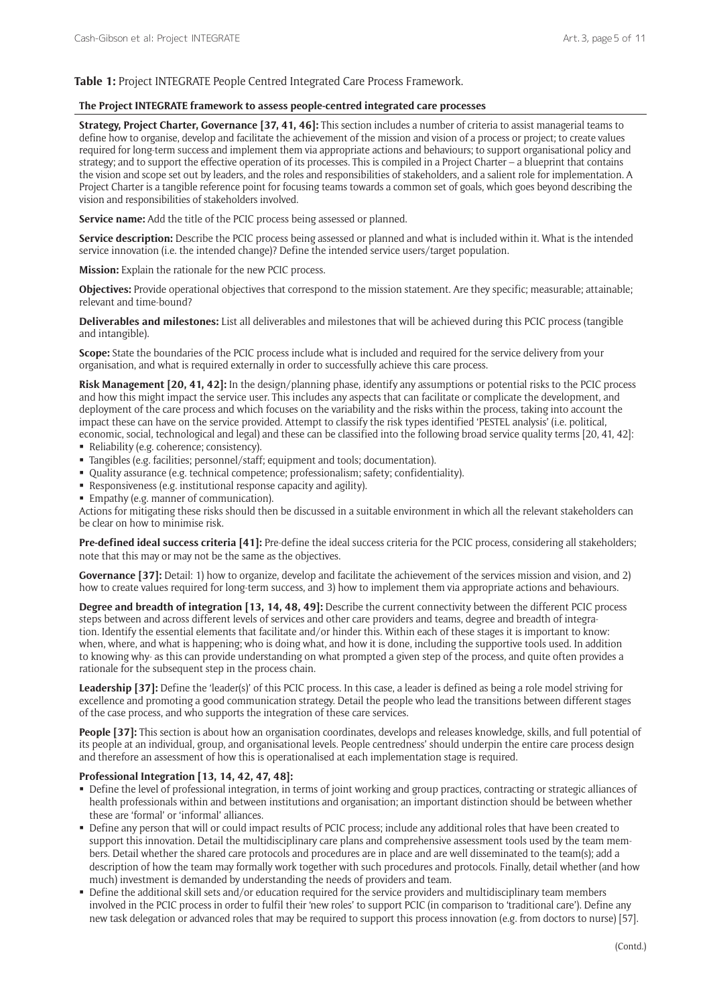#### **Table 1:** Project INTEGRATE People Centred Integrated Care Process Framework.

#### **The Project INTEGRATE framework to assess people-centred integrated care processes**

**Strategy, Project Charter, Governance [37, 41, 46]:** This section includes a number of criteria to assist managerial teams to define how to organise, develop and facilitate the achievement of the mission and vision of a process or project; to create values required for long-term success and implement them via appropriate actions and behaviours; to support organisational policy and strategy; and to support the effective operation of its processes. This is compiled in a Project Charter – a blueprint that contains the vision and scope set out by leaders, and the roles and responsibilities of stakeholders, and a salient role for implementation. A Project Charter is a tangible reference point for focusing teams towards a common set of goals, which goes beyond describing the vision and responsibilities of stakeholders involved.

**Service name:** Add the title of the PCIC process being assessed or planned.

**Service description:** Describe the PCIC process being assessed or planned and what is included within it. What is the intended service innovation (i.e. the intended change)? Define the intended service users/target population.

**Mission:** Explain the rationale for the new PCIC process.

**Objectives:** Provide operational objectives that correspond to the mission statement. Are they specific; measurable; attainable; relevant and time-bound?

**Deliverables and milestones:** List all deliverables and milestones that will be achieved during this PCIC process (tangible and intangible).

**Scope:** State the boundaries of the PCIC process include what is included and required for the service delivery from your organisation, and what is required externally in order to successfully achieve this care process.

**Risk Management [20, 41, 42]:** In the design/planning phase, identify any assumptions or potential risks to the PCIC process and how this might impact the service user. This includes any aspects that can facilitate or complicate the development, and deployment of the care process and which focuses on the variability and the risks within the process, taking into account the impact these can have on the service provided. Attempt to classify the risk types identified 'PESTEL analysis' (i.e. political, economic, social, technological and legal) and these can be classified into the following broad service quality terms [20, 41, 42]:

- Reliability (e.g. coherence; consistency).
- Tangibles (e.g. facilities; personnel/staff; equipment and tools; documentation).
- Quality assurance (e.g. technical competence; professionalism; safety; confidentiality).
- Responsiveness (e.g. institutional response capacity and agility).
- Empathy (e.g. manner of communication).

Actions for mitigating these risks should then be discussed in a suitable environment in which all the relevant stakeholders can be clear on how to minimise risk.

**Pre-defined ideal success criteria [41]:** Pre-define the ideal success criteria for the PCIC process, considering all stakeholders; note that this may or may not be the same as the objectives.

**Governance [37]:** Detail: 1) how to organize, develop and facilitate the achievement of the services mission and vision, and 2) how to create values required for long-term success, and 3) how to implement them via appropriate actions and behaviours.

**Degree and breadth of integration [13, 14, 48, 49]:** Describe the current connectivity between the different PCIC process steps between and across different levels of services and other care providers and teams, degree and breadth of integration. Identify the essential elements that facilitate and/or hinder this. Within each of these stages it is important to know: when, where, and what is happening; who is doing what, and how it is done, including the supportive tools used. In addition to knowing why- as this can provide understanding on what prompted a given step of the process, and quite often provides a rationale for the subsequent step in the process chain.

Leadership [37]: Define the 'leader(s)' of this PCIC process. In this case, a leader is defined as being a role model striving for excellence and promoting a good communication strategy. Detail the people who lead the transitions between different stages of the case process, and who supports the integration of these care services.

**People [37]:** This section is about how an organisation coordinates, develops and releases knowledge, skills, and full potential of its people at an individual, group, and organisational levels. People centredness' should underpin the entire care process design and therefore an assessment of how this is operationalised at each implementation stage is required.

#### **Professional Integration [13, 14, 42, 47, 48]:**

- Define the level of professional integration, in terms of joint working and group practices, contracting or strategic alliances of health professionals within and between institutions and organisation; an important distinction should be between whether these are 'formal' or 'informal' alliances.
- Define any person that will or could impact results of PCIC process; include any additional roles that have been created to support this innovation. Detail the multidisciplinary care plans and comprehensive assessment tools used by the team members. Detail whether the shared care protocols and procedures are in place and are well disseminated to the team(s); add a description of how the team may formally work together with such procedures and protocols. Finally, detail whether (and how much) investment is demanded by understanding the needs of providers and team.
- Define the additional skill sets and/or education required for the service providers and multidisciplinary team members involved in the PCIC process in order to fulfil their 'new roles' to support PCIC (in comparison to 'traditional care'). Define any new task delegation or advanced roles that may be required to support this process innovation (e.g. from doctors to nurse) [57].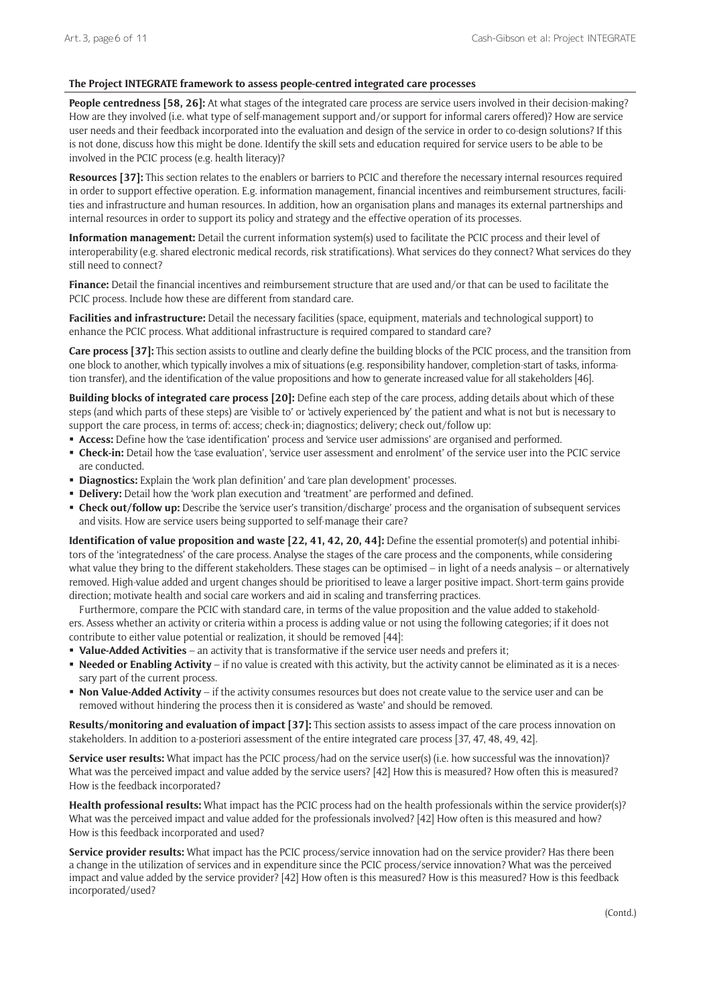#### **The Project INTEGRATE framework to assess people-centred integrated care processes**

**People centredness [58, 26]:** At what stages of the integrated care process are service users involved in their decision-making? How are they involved (i.e. what type of self-management support and/or support for informal carers offered)? How are service user needs and their feedback incorporated into the evaluation and design of the service in order to co-design solutions? If this is not done, discuss how this might be done. Identify the skill sets and education required for service users to be able to be involved in the PCIC process (e.g. health literacy)?

**Resources [37]:** This section relates to the enablers or barriers to PCIC and therefore the necessary internal resources required in order to support effective operation. E.g. information management, financial incentives and reimbursement structures, facilities and infrastructure and human resources. In addition, how an organisation plans and manages its external partnerships and internal resources in order to support its policy and strategy and the effective operation of its processes.

**Information management:** Detail the current information system(s) used to facilitate the PCIC process and their level of interoperability (e.g. shared electronic medical records, risk stratifications). What services do they connect? What services do they still need to connect?

**Finance:** Detail the financial incentives and reimbursement structure that are used and/or that can be used to facilitate the PCIC process. Include how these are different from standard care.

**Facilities and infrastructure:** Detail the necessary facilities (space, equipment, materials and technological support) to enhance the PCIC process. What additional infrastructure is required compared to standard care?

**Care process [37]:** This section assists to outline and clearly define the building blocks of the PCIC process, and the transition from one block to another, which typically involves a mix of situations (e.g. responsibility handover, completion-start of tasks, information transfer), and the identification of the value propositions and how to generate increased value for all stakeholders [46].

**Building blocks of integrated care process [20]:** Define each step of the care process, adding details about which of these steps (and which parts of these steps) are 'visible to' or 'actively experienced by' the patient and what is not but is necessary to support the care process, in terms of: access; check-in; diagnostics; delivery; check out/follow up:

- **Access:** Define how the 'case identification' process and 'service user admissions' are organised and performed.
- **Check-in:** Detail how the 'case evaluation', 'service user assessment and enrolment' of the service user into the PCIC service are conducted.
- **Diagnostics:** Explain the 'work plan definition' and 'care plan development' processes.
- **Delivery:** Detail how the 'work plan execution and 'treatment' are performed and defined.
- **Check out/follow up:** Describe the 'service user's transition/discharge' process and the organisation of subsequent services and visits. How are service users being supported to self-manage their care?

**Identification of value proposition and waste [22, 41, 42, 20, 44]:** Define the essential promoter(s) and potential inhibitors of the 'integratedness' of the care process. Analyse the stages of the care process and the components, while considering what value they bring to the different stakeholders. These stages can be optimised – in light of a needs analysis – or alternatively removed. High-value added and urgent changes should be prioritised to leave a larger positive impact. Short-term gains provide direction; motivate health and social care workers and aid in scaling and transferring practices.

Furthermore, compare the PCIC with standard care, in terms of the value proposition and the value added to stakeholders. Assess whether an activity or criteria within a process is adding value or not using the following categories; if it does not contribute to either value potential or realization, it should be removed [44]:

- **Value-Added Activities** an activity that is transformative if the service user needs and prefers it;
- **Needed or Enabling Activity** if no value is created with this activity, but the activity cannot be eliminated as it is a necessary part of the current process.
- **Non Value-Added Activity** if the activity consumes resources but does not create value to the service user and can be removed without hindering the process then it is considered as 'waste' and should be removed.

**Results/monitoring and evaluation of impact [37]:** This section assists to assess impact of the care process innovation on stakeholders. In addition to a-posteriori assessment of the entire integrated care process [37, 47, 48, 49, 42].

**Service user results:** What impact has the PCIC process/had on the service user(s) (i.e. how successful was the innovation)? What was the perceived impact and value added by the service users? [42] How this is measured? How often this is measured? How is the feedback incorporated?

Health professional results: What impact has the PCIC process had on the health professionals within the service provider(s)? What was the perceived impact and value added for the professionals involved? [42] How often is this measured and how? How is this feedback incorporated and used?

Service provider results: What impact has the PCIC process/service innovation had on the service provider? Has there been a change in the utilization of services and in expenditure since the PCIC process/service innovation? What was the perceived impact and value added by the service provider? [42] How often is this measured? How is this measured? How is this feedback incorporated/used?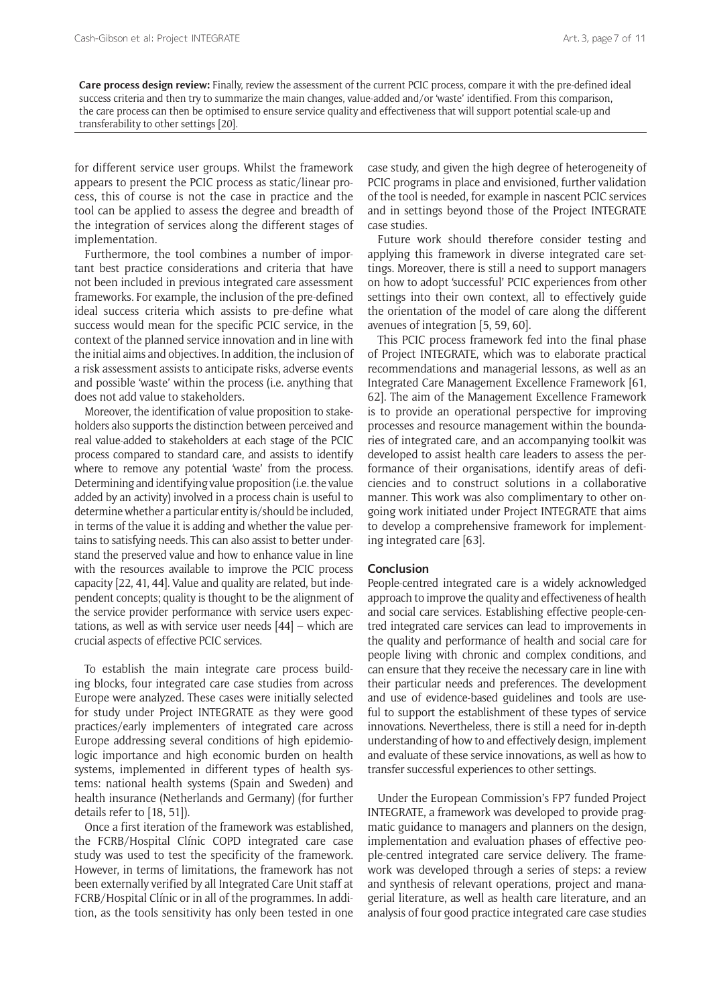**Care process design review:** Finally, review the assessment of the current PCIC process, compare it with the pre-defined ideal success criteria and then try to summarize the main changes, value-added and/or 'waste' identified. From this comparison, the care process can then be optimised to ensure service quality and effectiveness that will support potential scale-up and transferability to other settings [20].

for different service user groups. Whilst the framework appears to present the PCIC process as static/linear process, this of course is not the case in practice and the tool can be applied to assess the degree and breadth of the integration of services along the different stages of implementation.

Furthermore, the tool combines a number of important best practice considerations and criteria that have not been included in previous integrated care assessment frameworks. For example, the inclusion of the pre-defined ideal success criteria which assists to pre-define what success would mean for the specific PCIC service, in the context of the planned service innovation and in line with the initial aims and objectives. In addition, the inclusion of a risk assessment assists to anticipate risks, adverse events and possible 'waste' within the process (i.e. anything that does not add value to stakeholders.

Moreover, the identification of value proposition to stakeholders also supports the distinction between perceived and real value-added to stakeholders at each stage of the PCIC process compared to standard care, and assists to identify where to remove any potential 'waste' from the process. Determining and identifying value proposition (i.e. the value added by an activity) involved in a process chain is useful to determine whether a particular entity is/should be included, in terms of the value it is adding and whether the value pertains to satisfying needs. This can also assist to better understand the preserved value and how to enhance value in line with the resources available to improve the PCIC process capacity [22, 41, 44]. Value and quality are related, but independent concepts; quality is thought to be the alignment of the service provider performance with service users expectations, as well as with service user needs [44] – which are crucial aspects of effective PCIC services.

To establish the main integrate care process building blocks, four integrated care case studies from across Europe were analyzed. These cases were initially selected for study under Project INTEGRATE as they were good practices/early implementers of integrated care across Europe addressing several conditions of high epidemiologic importance and high economic burden on health systems, implemented in different types of health systems: national health systems (Spain and Sweden) and health insurance (Netherlands and Germany) (for further details refer to [18, 51]).

Once a first iteration of the framework was established, the FCRB/Hospital Clínic COPD integrated care case study was used to test the specificity of the framework. However, in terms of limitations, the framework has not been externally verified by all Integrated Care Unit staff at FCRB/Hospital Clínic or in all of the programmes. In addition, as the tools sensitivity has only been tested in one

case study, and given the high degree of heterogeneity of PCIC programs in place and envisioned, further validation of the tool is needed, for example in nascent PCIC services and in settings beyond those of the Project INTEGRATE case studies.

Future work should therefore consider testing and applying this framework in diverse integrated care settings. Moreover, there is still a need to support managers on how to adopt 'successful' PCIC experiences from other settings into their own context, all to effectively guide the orientation of the model of care along the different avenues of integration [5, 59, 60].

This PCIC process framework fed into the final phase of Project INTEGRATE, which was to elaborate practical recommendations and managerial lessons, as well as an Integrated Care Management Excellence Framework [61, 62]. The aim of the Management Excellence Framework is to provide an operational perspective for improving processes and resource management within the boundaries of integrated care, and an accompanying toolkit was developed to assist health care leaders to assess the performance of their organisations, identify areas of deficiencies and to construct solutions in a collaborative manner. This work was also complimentary to other ongoing work initiated under Project INTEGRATE that aims to develop a comprehensive framework for implementing integrated care [63].

#### **Conclusion**

People-centred integrated care is a widely acknowledged approach to improve the quality and effectiveness of health and social care services. Establishing effective people-centred integrated care services can lead to improvements in the quality and performance of health and social care for people living with chronic and complex conditions, and can ensure that they receive the necessary care in line with their particular needs and preferences. The development and use of evidence-based guidelines and tools are useful to support the establishment of these types of service innovations. Nevertheless, there is still a need for in-depth understanding of how to and effectively design, implement and evaluate of these service innovations, as well as how to transfer successful experiences to other settings.

Under the European Commission's FP7 funded Project INTEGRATE, a framework was developed to provide pragmatic guidance to managers and planners on the design, implementation and evaluation phases of effective people-centred integrated care service delivery. The framework was developed through a series of steps: a review and synthesis of relevant operations, project and managerial literature, as well as health care literature, and an analysis of four good practice integrated care case studies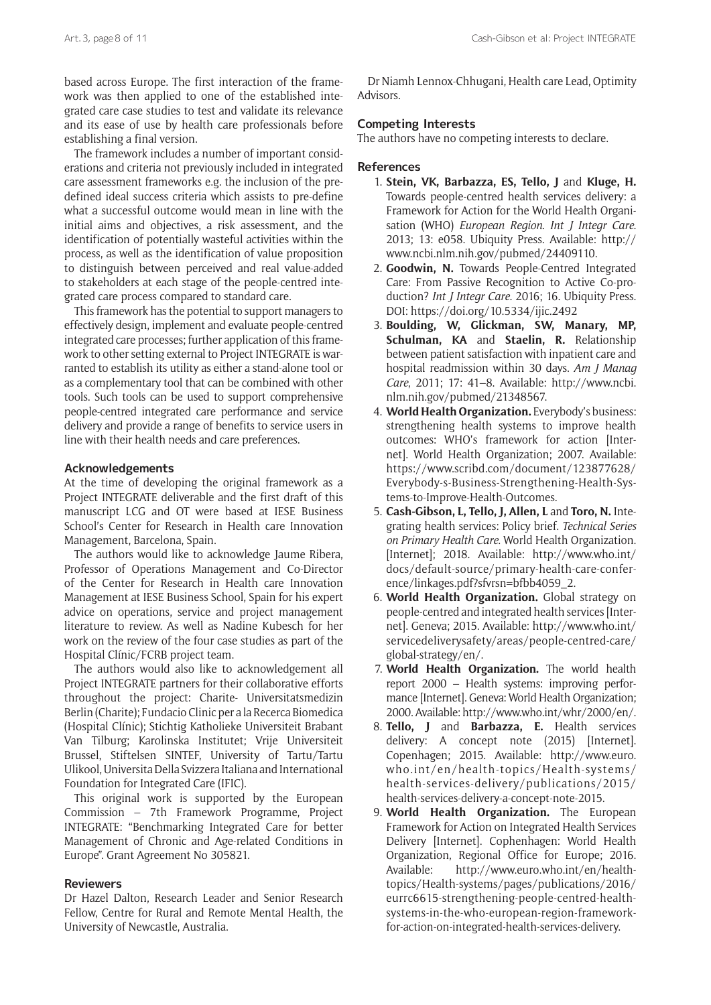based across Europe. The first interaction of the framework was then applied to one of the established integrated care case studies to test and validate its relevance and its ease of use by health care professionals before establishing a final version.

The framework includes a number of important considerations and criteria not previously included in integrated care assessment frameworks e.g. the inclusion of the predefined ideal success criteria which assists to pre-define what a successful outcome would mean in line with the initial aims and objectives, a risk assessment, and the identification of potentially wasteful activities within the process, as well as the identification of value proposition to distinguish between perceived and real value-added to stakeholders at each stage of the people-centred integrated care process compared to standard care.

This framework has the potential to support managers to effectively design, implement and evaluate people-centred integrated care processes; further application of this framework to other setting external to Project INTEGRATE is warranted to establish its utility as either a stand-alone tool or as a complementary tool that can be combined with other tools. Such tools can be used to support comprehensive people-centred integrated care performance and service delivery and provide a range of benefits to service users in line with their health needs and care preferences.

#### **Acknowledgements**

At the time of developing the original framework as a Project INTEGRATE deliverable and the first draft of this manuscript LCG and OT were based at IESE Business School's Center for Research in Health care Innovation Management, Barcelona, Spain.

The authors would like to acknowledge Jaume Ribera, Professor of Operations Management and Co-Director of the Center for Research in Health care Innovation Management at IESE Business School, Spain for his expert advice on operations, service and project management literature to review. As well as Nadine Kubesch for her work on the review of the four case studies as part of the Hospital Clínic/FCRB project team.

The authors would also like to acknowledgement all Project INTEGRATE partners for their collaborative efforts throughout the project: Charite- Universitatsmedizin Berlin (Charite); Fundacio Clinic per a la Recerca Biomedica (Hospital Clínic); Stichtig Katholieke Universiteit Brabant Van Tilburg; Karolinska Institutet; Vrije Universiteit Brussel, Stiftelsen SINTEF, University of Tartu/Tartu Ulikool, Universita Della Svizzera Italiana and International Foundation for Integrated Care (IFIC).

This original work is supported by the European Commission – 7th Framework Programme, Project INTEGRATE: "Benchmarking Integrated Care for better Management of Chronic and Age-related Conditions in Europe". Grant Agreement No 305821.

#### **Reviewers**

Dr Hazel Dalton, Research Leader and Senior Research Fellow, Centre for Rural and Remote Mental Health, the University of Newcastle, Australia.

Dr Niamh Lennox-Chhugani, Health care Lead, Optimity Advisors.

### **Competing Interests**

The authors have no competing interests to declare.

#### **References**

- 1. **Stein, VK, Barbazza, ES, Tello, J** and **Kluge, H.** Towards people-centred health services delivery: a Framework for Action for the World Health Organisation (WHO) *European Region*. *Int J Integr Care*. 2013; 13: e058. Ubiquity Press. Available: [http://](http://www.ncbi.nlm.nih.gov/pubmed/24409110) [www.ncbi.nlm.nih.gov/pubmed/24409110](http://www.ncbi.nlm.nih.gov/pubmed/24409110).
- 2. **Goodwin, N.** Towards People-Centred Integrated Care: From Passive Recognition to Active Co-production? *Int J Integr Care*. 2016; 16. Ubiquity Press. DOI:<https://doi.org/10.5334/ijic.2492>
- 3. **Boulding, W, Glickman, SW, Manary, MP, Schulman, KA** and **Staelin, R.** Relationship between patient satisfaction with inpatient care and hospital readmission within 30 days. *Am J Manag Care*, 2011; 17: 41–8. Available: [http://www.ncbi.](http://www.ncbi.nlm.nih.gov/pubmed/21348567) [nlm.nih.gov/pubmed/21348567](http://www.ncbi.nlm.nih.gov/pubmed/21348567).
- 4. **World Health Organization.** Everybody's business: strengthening health systems to improve health outcomes: WHO's framework for action [Internet]. World Health Organization; 2007. Available: [https://www.scribd.com/document/123877628/](https://www.scribd.com/document/123877628/Everybody-s-Business-Strengthening-Health-Systems-to-Improve-Health-Outcomes) [Everybody-s-Business-Strengthening-Health-Sys](https://www.scribd.com/document/123877628/Everybody-s-Business-Strengthening-Health-Systems-to-Improve-Health-Outcomes)[tems-to-Improve-Health-Outcomes.](https://www.scribd.com/document/123877628/Everybody-s-Business-Strengthening-Health-Systems-to-Improve-Health-Outcomes)
- 5. **Cash-Gibson, L, Tello, J, Allen, L** and **Toro, N.** Integrating health services: Policy brief. *Technical Series on Primary Health Care*. World Health Organization. [Internet]; 2018. Available: [http://www.who.int/](http://www.who.int/docs/default-source/primary-health-care-conference/linkages.pdf?sfvrsn=bfbb4059_2) [docs/default-source/primary-health-care-confer](http://www.who.int/docs/default-source/primary-health-care-conference/linkages.pdf?sfvrsn=bfbb4059_2)[ence/linkages.pdf?sfvrsn=bfbb4059\\_2](http://www.who.int/docs/default-source/primary-health-care-conference/linkages.pdf?sfvrsn=bfbb4059_2).
- 6. **World Health Organization.** Global strategy on people-centred and integrated health services [Internet]. Geneva; 2015. Available: [http://www.who.int/](http://www.who.int/servicedeliverysafety/areas/people-centred-care/global-strategy/en/) [servicedeliverysafety/areas/people-centred-care/](http://www.who.int/servicedeliverysafety/areas/people-centred-care/global-strategy/en/) [global-strategy/en/.](http://www.who.int/servicedeliverysafety/areas/people-centred-care/global-strategy/en/)
- 7. **World Health Organization.** The world health report 2000 – Health systems: improving performance [Internet]. Geneva: World Health Organization; 2000. Available: [http://www.who.int/whr/2000/en/.](http://www.who.int/whr/2000/en/)
- 8. **Tello, J** and **Barbazza, E.** Health services delivery: A concept note (2015) [Internet]. Copenhagen; 2015. Available: [http://www.euro.](http://www.euro.who.int/en/health-topics/Health-systems/health-services-delivery/publications/2015/health-services-delivery-a-concept-note-2015) [who.int/en/health-topics/Health-systems/](http://www.euro.who.int/en/health-topics/Health-systems/health-services-delivery/publications/2015/health-services-delivery-a-concept-note-2015) [health-services-delivery/publications/2015/](http://www.euro.who.int/en/health-topics/Health-systems/health-services-delivery/publications/2015/health-services-delivery-a-concept-note-2015) [health-services-delivery-a-concept-note-2015](http://www.euro.who.int/en/health-topics/Health-systems/health-services-delivery/publications/2015/health-services-delivery-a-concept-note-2015).
- 9. **World Health Organization.** The European Framework for Action on Integrated Health Services Delivery [Internet]. Cophenhagen: World Health Organization, Regional Office for Europe; 2016. Available: [http://www.euro.who.int/en/health](http://www.euro.who.int/en/health-topics/Health-systems/pages/publications/2016/eurrc6615-strengthening-people-centred-health-systems-in-the-who-european-region-framework-for-action-on-integrated-health-services-delivery)[topics/Health-systems/pages/publications/2016/](http://www.euro.who.int/en/health-topics/Health-systems/pages/publications/2016/eurrc6615-strengthening-people-centred-health-systems-in-the-who-european-region-framework-for-action-on-integrated-health-services-delivery) [eurrc6615-strengthening-people-centred-health](http://www.euro.who.int/en/health-topics/Health-systems/pages/publications/2016/eurrc6615-strengthening-people-centred-health-systems-in-the-who-european-region-framework-for-action-on-integrated-health-services-delivery)[systems-in-the-who-european-region-framework](http://www.euro.who.int/en/health-topics/Health-systems/pages/publications/2016/eurrc6615-strengthening-people-centred-health-systems-in-the-who-european-region-framework-for-action-on-integrated-health-services-delivery)[for-action-on-integrated-health-services-delivery.](http://www.euro.who.int/en/health-topics/Health-systems/pages/publications/2016/eurrc6615-strengthening-people-centred-health-systems-in-the-who-european-region-framework-for-action-on-integrated-health-services-delivery)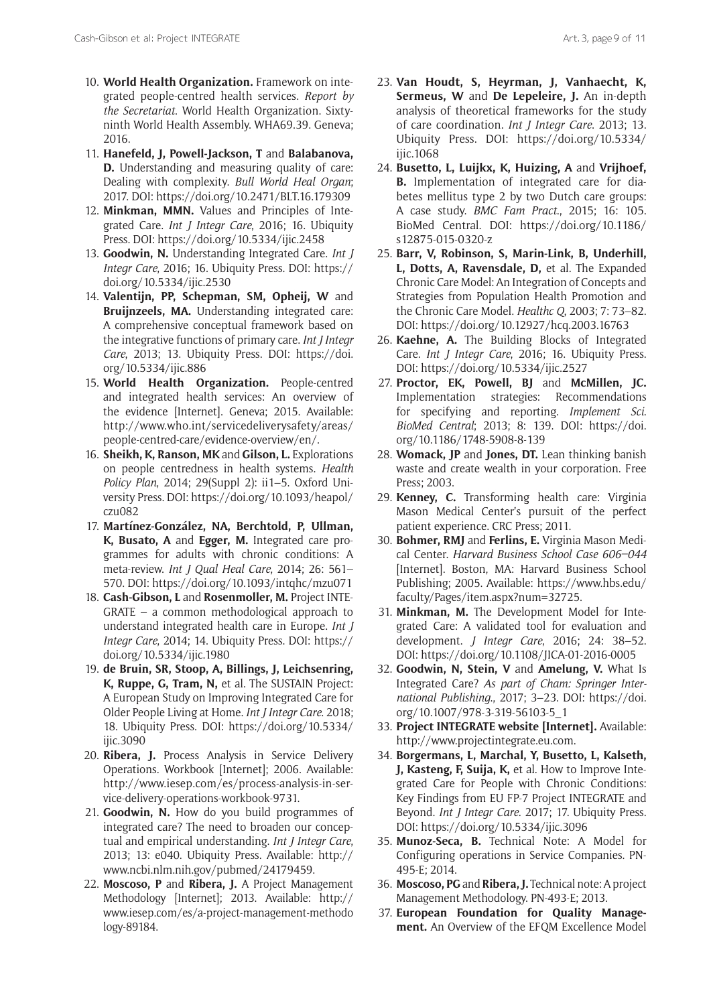- 10. **World Health Organization.** Framework on integrated people-centred health services. *Report by the Secretariat*. World Health Organization. Sixtyninth World Health Assembly. WHA69.39. Geneva; 2016.
- 11. **Hanefeld, J, Powell-Jackson, T** and **Balabanova, D.** Understanding and measuring quality of care: Dealing with complexity. *Bull World Heal Organ*; 2017. DOI: <https://doi.org/10.2471/BLT.16.179309>
- 12. **Minkman, MMN.** Values and Principles of Integrated Care. *Int J Integr Care*, 2016; 16. Ubiquity Press. DOI: <https://doi.org/10.5334/ijic.2458>
- 13. **Goodwin, N.** Understanding Integrated Care. *Int J Integr Care*, 2016; 16. Ubiquity Press. DOI: [https://](https://doi.org/10.5334/ijic.2530) [doi.org/10.5334/ijic.2530](https://doi.org/10.5334/ijic.2530)
- 14. **Valentijn, PP, Schepman, SM, Opheij, W** and **Bruijnzeels, MA.** Understanding integrated care: A comprehensive conceptual framework based on the integrative functions of primary care. *Int J Integr Care*, 2013; 13. Ubiquity Press. DOI: [https://doi.](https://doi.org/10.5334/ijic.886) [org/10.5334/ijic.886](https://doi.org/10.5334/ijic.886)
- 15. **World Health Organization.** People-centred and integrated health services: An overview of the evidence [Internet]. Geneva; 2015. Available: [http://www.who.int/servicedeliverysafety/areas/](http://www.who.int/servicedeliverysafety/areas/people-centred-care/evidence-overview/en/) [people-centred-care/evidence-overview/en/.](http://www.who.int/servicedeliverysafety/areas/people-centred-care/evidence-overview/en/)
- 16. **Sheikh, K, Ranson, MK** and **Gilson, L.** Explorations on people centredness in health systems. *Health Policy Plan*, 2014; 29(Suppl 2): ii1–5. Oxford University Press. DOI: [https://doi.org/10.1093/heapol/](https://doi.org/10.1093/heapol/czu082) [czu082](https://doi.org/10.1093/heapol/czu082)
- 17. **Martínez-González, NA, Berchtold, P, Ullman, K, Busato, A** and **Egger, M.** Integrated care programmes for adults with chronic conditions: A meta-review. *Int J Qual Heal Care*, 2014; 26: 561– 570. DOI:<https://doi.org/10.1093/intqhc/mzu071>
- 18. **Cash-Gibson, L** and **Rosenmoller, M.** Project INTE-GRATE – a common methodological approach to understand integrated health care in Europe. *Int J Integr Care*, 2014; 14. Ubiquity Press. DOI: [https://](https://doi.org/10.5334/ijic.1980) [doi.org/10.5334/ijic.1980](https://doi.org/10.5334/ijic.1980)
- 19. **de Bruin, SR, Stoop, A, Billings, J, Leichsenring, K, Ruppe, G, Tram, N,** et al. The SUSTAIN Project: A European Study on Improving Integrated Care for Older People Living at Home. *Int J Integr Care*. 2018; 18. Ubiquity Press. DOI: [https://doi.org/10.5334/](https://doi.org/10.5334/ijic.3090) iiic.3090
- 20. **Ribera, J.** Process Analysis in Service Delivery Operations. Workbook [Internet]; 2006. Available: [http://www.iesep.com/es/process-analysis-in-ser](http://www.iesep.com/es/process-analysis-in-service-delivery-operations-workbook-9731)[vice-delivery-operations-workbook-9731.](http://www.iesep.com/es/process-analysis-in-service-delivery-operations-workbook-9731)
- 21. **Goodwin, N.** How do you build programmes of integrated care? The need to broaden our conceptual and empirical understanding. *Int J Integr Care*, 2013; 13: e040. Ubiquity Press. Available: [http://](http://www.ncbi.nlm.nih.gov/pubmed/24179459) [www.ncbi.nlm.nih.gov/pubmed/24179459.](http://www.ncbi.nlm.nih.gov/pubmed/24179459)
- 22. **Moscoso, P** and **Ribera, J.** A Project Management Methodology [Internet]; 2013. Available: [http://](http://www.iesep.com/es/a-project-management-methodology-89184) [www.iesep.com/es/a-project-management-methodo](http://www.iesep.com/es/a-project-management-methodology-89184) [logy-89184](http://www.iesep.com/es/a-project-management-methodology-89184).
- 23. **Van Houdt, S, Heyrman, J, Vanhaecht, K, Sermeus, W** and **De Lepeleire, J.** An in-depth analysis of theoretical frameworks for the study of care coordination. *Int J Integr Care*. 2013; 13. Ubiquity Press. DOI: [https://doi.org/10.5334/](https://doi.org/10.5334/ijic.1068) [ijic.1068](https://doi.org/10.5334/ijic.1068)
- 24. **Busetto, L, Luijkx, K, Huizing, A** and **Vrijhoef, B.** Implementation of integrated care for diabetes mellitus type 2 by two Dutch care groups: A case study. *BMC Fam Pract*., 2015; 16: 105. BioMed Central. DOI: [https://doi.org/10.1186/](https://doi.org/10.1186/s12875-015-0320-z) [s12875-015-0320-z](https://doi.org/10.1186/s12875-015-0320-z)
- 25. **Barr, V, Robinson, S, Marin-Link, B, Underhill, L, Dotts, A, Ravensdale, D,** et al. The Expanded Chronic Care Model: An Integration of Concepts and Strategies from Population Health Promotion and the Chronic Care Model. *Healthc Q*, 2003; 7: 73–82. DOI: <https://doi.org/10.12927/hcq.2003.16763>
- 26. **Kaehne, A.** The Building Blocks of Integrated Care. *Int J Integr Care*, 2016; 16. Ubiquity Press. DOI: <https://doi.org/10.5334/ijic.2527>
- 27. **Proctor, EK, Powell, BJ** and **McMillen, JC.**  Implementation strategies: Recommendations for specifying and reporting. *Implement Sci*. *BioMed Central*; 2013; 8: 139. DOI: [https://doi.](https://doi.org/10.1186/1748-5908-8-139) [org/10.1186/1748-5908-8-139](https://doi.org/10.1186/1748-5908-8-139)
- 28. **Womack, JP** and **Jones, DT.** Lean thinking banish waste and create wealth in your corporation. Free Press; 2003.
- 29. **Kenney, C.** Transforming health care: Virginia Mason Medical Center's pursuit of the perfect patient experience. CRC Press; 2011.
- 30. **Bohmer, RMJ** and **Ferlins, E.** Virginia Mason Medical Center. *Harvard Business School Case 606–044* [Internet]. Boston, MA: Harvard Business School Publishing; 2005. Available: [https://www.hbs.edu/](https://www.hbs.edu/faculty/Pages/item.aspx?num=32725) [faculty/Pages/item.aspx?num=32725.](https://www.hbs.edu/faculty/Pages/item.aspx?num=32725)
- 31. **Minkman, M.** The Development Model for Integrated Care: A validated tool for evaluation and development. *J Integr Care*, 2016; 24: 38–52. DOI: <https://doi.org/10.1108/JICA-01-2016-0005>
- 32. **Goodwin, N, Stein, V** and **Amelung, V.** What Is Integrated Care? *As part of Cham: Springer International Publishing*., 2017; 3–23. DOI: [https://doi.](https://doi.org/10.1007/978-3-319-56103-5_1) [org/10.1007/978-3-319-56103-5\\_1](https://doi.org/10.1007/978-3-319-56103-5_1)
- 33. **Project INTEGRATE website [Internet].** Available: <http://www.projectintegrate.eu.com>.
- 34. **Borgermans, L, Marchal, Y, Busetto, L, Kalseth, J, Kasteng, F, Suija, K,** et al. How to Improve Integrated Care for People with Chronic Conditions: Key Findings from EU FP-7 Project INTEGRATE and Beyond. *Int J Integr Care*. 2017; 17. Ubiquity Press. DOI: <https://doi.org/10.5334/ijic.3096>
- 35. **Munoz-Seca, B.** Technical Note: A Model for Configuring operations in Service Companies. PN-495-E; 2014.
- 36. **Moscoso, PG** and **Ribera, J.** Technical note: A project Management Methodology. PN-493-E; 2013.
- 37. **European Foundation for Quality Management.** An Overview of the EFQM Excellence Model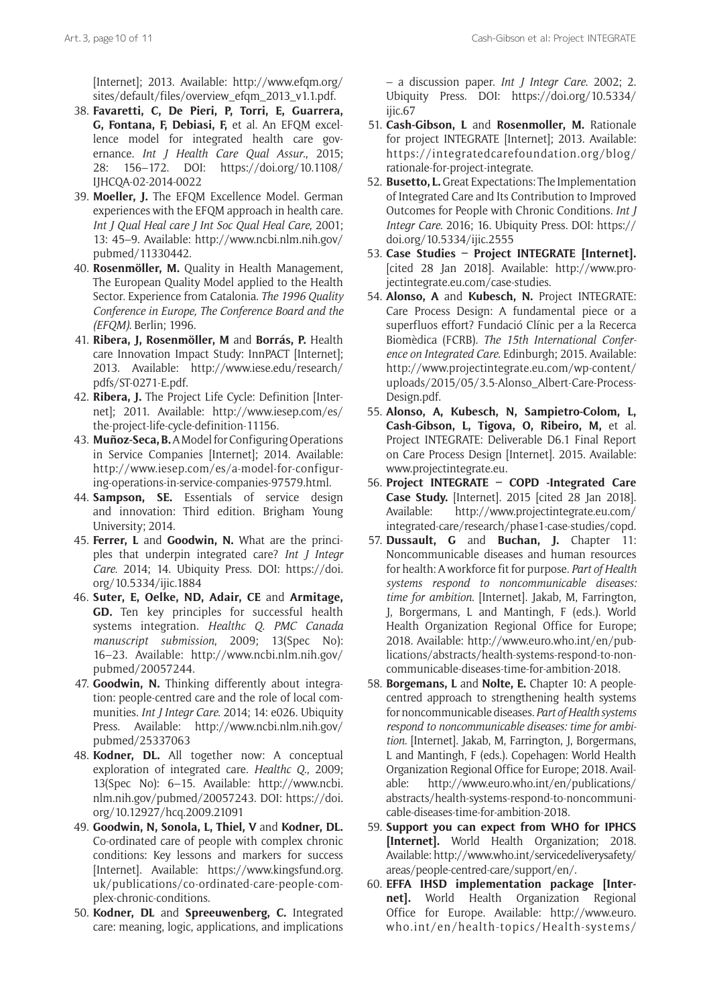[Internet]; 2013. Available: [http://www.efqm.org/](http://www.efqm.org/sites/default/files/overview_efqm_2013_v1.1.pdf) [sites/default/files/overview\\_efqm\\_2013\\_v1.1.pdf](http://www.efqm.org/sites/default/files/overview_efqm_2013_v1.1.pdf).

- 38. **Favaretti, C, De Pieri, P, Torri, E, Guarrera, G, Fontana, F, Debiasi, F,** et al. An EFQM excellence model for integrated health care governance. *Int J Health Care Qual Assur*., 2015; 28: 156–172. DOI: [https://doi.org/10.1108/](https://doi.org/10.1108/IJHCQA-02-2014-0022) [IJHCQA-02-2014-0022](https://doi.org/10.1108/IJHCQA-02-2014-0022)
- 39. **Moeller, J.** The EFQM Excellence Model. German experiences with the EFQM approach in health care. *Int J Qual Heal care J Int Soc Qual Heal Care*, 2001; 13: 45–9. Available: [http://www.ncbi.nlm.nih.gov/](http://www.ncbi.nlm.nih.gov/pubmed/11330442) [pubmed/11330442](http://www.ncbi.nlm.nih.gov/pubmed/11330442).
- 40. **Rosenmöller, M.** Quality in Health Management, The European Quality Model applied to the Health Sector. Experience from Catalonia. *The 1996 Quality Conference in Europe, The Conference Board and the (EFQM)*. Berlin; 1996.
- 41. **Ribera, J, Rosenmöller, M** and **Borrás, P.** Health care Innovation Impact Study: InnPACT [Internet]; 2013. Available: [http://www.iese.edu/research/](http://www.iese.edu/research/pdfs/ST-0271-E.pdf) [pdfs/ST-0271-E.pdf.](http://www.iese.edu/research/pdfs/ST-0271-E.pdf)
- 42. **Ribera, J.** The Project Life Cycle: Definition [Internet]; 2011. Available: [http://www.iesep.com/es/](http://www.iesep.com/es/the-project-life-cycle-definition-11156) [the-project-life-cycle-definition-11156.](http://www.iesep.com/es/the-project-life-cycle-definition-11156)
- 43. **Muñoz-Seca, B.** A Model for Configuring Operations in Service Companies [Internet]; 2014. Available: [http://www.iesep.com/es/a-model-for-configur](http://www.iesep.com/es/a-model-for-configuring-operations-in-service-companies-97579.html)[ing-operations-in-service-companies-97579.html.](http://www.iesep.com/es/a-model-for-configuring-operations-in-service-companies-97579.html)
- 44. **Sampson, SE.** Essentials of service design and innovation: Third edition. Brigham Young University; 2014.
- 45. **Ferrer, L** and **Goodwin, N.** What are the principles that underpin integrated care? *Int J Integr Care*. 2014; 14. Ubiquity Press. DOI: [https://doi.](https://doi.org/10.5334/ijic.1884) [org/10.5334/ijic.1884](https://doi.org/10.5334/ijic.1884)
- 46. **Suter, E, Oelke, ND, Adair, CE** and **Armitage, GD.** Ten key principles for successful health systems integration. *Healthc Q*. *PMC Canada manuscript submission*, 2009; 13(Spec No): 16–23. Available: [http://www.ncbi.nlm.nih.gov/](http://www.ncbi.nlm.nih.gov/pubmed/20057244) [pubmed/20057244](http://www.ncbi.nlm.nih.gov/pubmed/20057244).
- 47. **Goodwin, N.** Thinking differently about integration: people-centred care and the role of local communities. *Int J Integr Care*. 2014; 14: e026. Ubiquity Press. Available: [http://www.ncbi.nlm.nih.gov/](http://www.ncbi.nlm.nih.gov/pubmed/25337063) [pubmed/25337063](http://www.ncbi.nlm.nih.gov/pubmed/25337063)
- 48. **Kodner, DL.** All together now: A conceptual exploration of integrated care. *Healthc Q*., 2009; 13(Spec No): 6–15. Available: [http://www.ncbi.](http://www.ncbi.nlm.nih.gov/pubmed/20057243) [nlm.nih.gov/pubmed/20057243.](http://www.ncbi.nlm.nih.gov/pubmed/20057243) DOI: [https://doi.](https://doi.org/10.12927/hcq.2009.21091) [org/10.12927/hcq.2009.21091](https://doi.org/10.12927/hcq.2009.21091)
- 49. **Goodwin, N, Sonola, L, Thiel, V** and **Kodner, DL.**  Co-ordinated care of people with complex chronic conditions: Key lessons and markers for success [Internet]. Available: [https://www.kingsfund.org.](https://www.kingsfund.org.uk/publications/co-ordinated-care-people-complex-chronic-conditions) [uk/publications/co-ordinated-care-people-com](https://www.kingsfund.org.uk/publications/co-ordinated-care-people-complex-chronic-conditions)[plex-chronic-conditions.](https://www.kingsfund.org.uk/publications/co-ordinated-care-people-complex-chronic-conditions)
- 50. **Kodner, DL** and **Spreeuwenberg, C.** Integrated care: meaning, logic, applications, and implications

– a discussion paper. *Int J Integr Care*. 2002; 2. Ubiquity Press. DOI: [https://doi.org/10.5334/](https://doi.org/10.5334/ijic.67) [ijic.67](https://doi.org/10.5334/ijic.67)

- 51. **Cash-Gibson, L** and **Rosenmoller, M.** Rationale for project INTEGRATE [Internet]; 2013. Available: [https://integratedcarefoundation.org/blog/](https://integratedcarefoundation.org/blog/rationale-for-project-integrate) [rationale-for-project-integrate.](https://integratedcarefoundation.org/blog/rationale-for-project-integrate)
- 52. **Busetto, L.** Great Expectations: The Implementation of Integrated Care and Its Contribution to Improved Outcomes for People with Chronic Conditions. *Int J Integr Care*. 2016; 16. Ubiquity Press. DOI: [https://](https://doi.org/10.5334/ijic.2555) [doi.org/10.5334/ijic.2555](https://doi.org/10.5334/ijic.2555)
- 53. **Case Studies Project INTEGRATE [Internet].** [cited 28 Jan 2018]. Available: [http://www.pro](http://www.projectintegrate.eu.com/case-studies)[jectintegrate.eu.com/case-studies.](http://www.projectintegrate.eu.com/case-studies)
- 54. **Alonso, A** and **Kubesch, N.** Project INTEGRATE: Care Process Design: A fundamental piece or a superfluos effort? Fundació Clínic per a la Recerca Biomèdica (FCRB). *The 15th International Conference on Integrated Care*. Edinburgh; 2015. Available: [http://www.projectintegrate.eu.com/wp-content/](http://www.projectintegrate.eu.com/wp-content/uploads/2015/05/3.5-Alonso_Albert-Care-Process-Design.pdf) [uploads/2015/05/3.5-Alonso\\_Albert-Care-Process-](http://www.projectintegrate.eu.com/wp-content/uploads/2015/05/3.5-Alonso_Albert-Care-Process-Design.pdf)[Design.pdf](http://www.projectintegrate.eu.com/wp-content/uploads/2015/05/3.5-Alonso_Albert-Care-Process-Design.pdf).
- 55. **Alonso, A, Kubesch, N, Sampietro-Colom, L, Cash-Gibson, L, Tigova, O, Ribeiro, M,** et al. Project INTEGRATE: Deliverable D6.1 Final Report on Care Process Design [Internet]. 2015. Available: <www.projectintegrate.eu>.
- 56. **Project INTEGRATE COPD -Integrated Care Case Study.** [Internet]. 2015 [cited 28 Jan 2018]. Available: [http://www.projectintegrate.eu.com/](http://www.projectintegrate.eu.com/integrated-care/research/phase1-case-studies/copd) [integrated-care/research/phase1-case-studies/copd.](http://www.projectintegrate.eu.com/integrated-care/research/phase1-case-studies/copd)
- 57. **Dussault, G** and **Buchan, J.** Chapter 11: Noncommunicable diseases and human resources for health: A workforce fit for purpose. *Part of Health systems respond to noncommunicable diseases: time for ambition*. [Internet]. Jakab, M, Farrington, J, Borgermans, L and Mantingh, F (eds.). World Health Organization Regional Office for Europe; 2018. Available: [http://www.euro.who.int/en/pub](http://www.euro.who.int/en/publications/abstracts/health-systems-respond-to-noncommunicable-diseases-time-for-ambition-2018)[lications/abstracts/health-systems-respond-to-non](http://www.euro.who.int/en/publications/abstracts/health-systems-respond-to-noncommunicable-diseases-time-for-ambition-2018)[communicable-diseases-time-for-ambition-2018.](http://www.euro.who.int/en/publications/abstracts/health-systems-respond-to-noncommunicable-diseases-time-for-ambition-2018)
- 58. **Borgemans, L** and **Nolte, E.** Chapter 10: A peoplecentred approach to strengthening health systems for noncommunicable diseases. *Part of Health systems respond to noncommunicable diseases: time for ambition.* [Internet]. Jakab, M, Farrington, J, Borgermans, L and Mantingh, F (eds.). Copehagen: World Health Organization Regional Office for Europe; 2018. Available: [http://www.euro.who.int/en/publications/](http://www.euro.who.int/en/publications/abstracts/health-systems-respond-to-noncommunicable-diseases-time-for-ambition-2018) [abstracts/health-systems-respond-to-noncommuni](http://www.euro.who.int/en/publications/abstracts/health-systems-respond-to-noncommunicable-diseases-time-for-ambition-2018)[cable-diseases-time-for-ambition-2018](http://www.euro.who.int/en/publications/abstracts/health-systems-respond-to-noncommunicable-diseases-time-for-ambition-2018).
- 59. **Support you can expect from WHO for IPHCS [Internet].** World Health Organization; 2018. Available: [http://www.who.int/servicedeliverysafety/](http://www.who.int/servicedeliverysafety/areas/people-centred-care/support/en/) [areas/people-centred-care/support/en/](http://www.who.int/servicedeliverysafety/areas/people-centred-care/support/en/).
- 60. **EFFA IHSD implementation package [Internet].** World Health Organization Regional Office for Europe. Available: [http://www.euro.](http://www.euro.who.int/en/health-topics/Health-systems/health-services-delivery/european-framework-for-action-on-integrated-health-services-delivery-effa-ihsd) [who.int/en/health-topics/Health-systems/](http://www.euro.who.int/en/health-topics/Health-systems/health-services-delivery/european-framework-for-action-on-integrated-health-services-delivery-effa-ihsd)